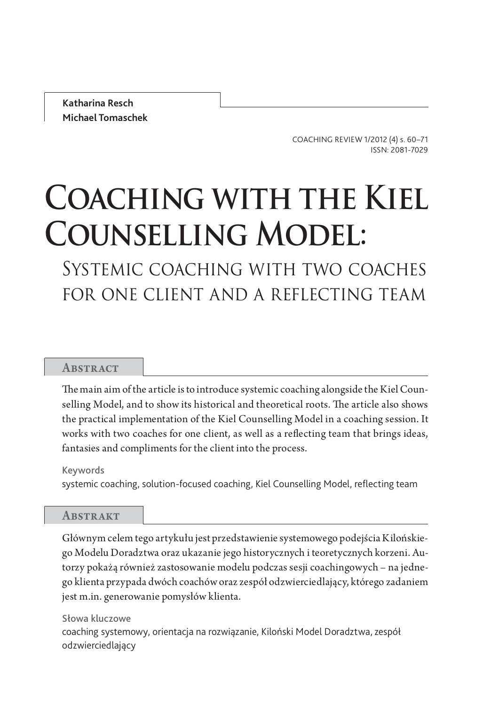Katharina Resch Michael Tomaschek

> COACHING REVIEW 1/2012 (4) s. 60–71 ISSN: 2081-7029

# Coaching with the Kiel Counselling Model:

Systemic coaching with two coaches for one client and a reflecting team

# **ABSTRACT**

The main aim of the article is to introduce systemic coaching alongside the Kiel Counselling Model, and to show its historical and theoretical roots. The article also shows the practical implementation of the Kiel Counselling Model in a coaching session. It works with two coaches for one client, as well as a reflecting team that brings ideas, fantasies and compliments for the client into the process.

Keywords

systemic coaching, solution-focused coaching, Kiel Counselling Model, reflecting team

## **ABSTRAKT**

Głównym celem tego artykułu jest przedstawienie systemowego podejścia Kilońskiego Modelu Doradztwa oraz ukazanie jego historycznych i teoretycznych korzeni. Autorzy pokażą również zastosowanie modelu podczas sesji coachingowych – na jednego klienta przypada dwóch coachów oraz zespół odzwierciedlający, którego zadaniem jest m.in. generowanie pomysłów klienta.

Słowa kluczowe coaching systemowy, orientacja na rozwiązanie, Kiloński Model Doradztwa, zespół odzwierciedlający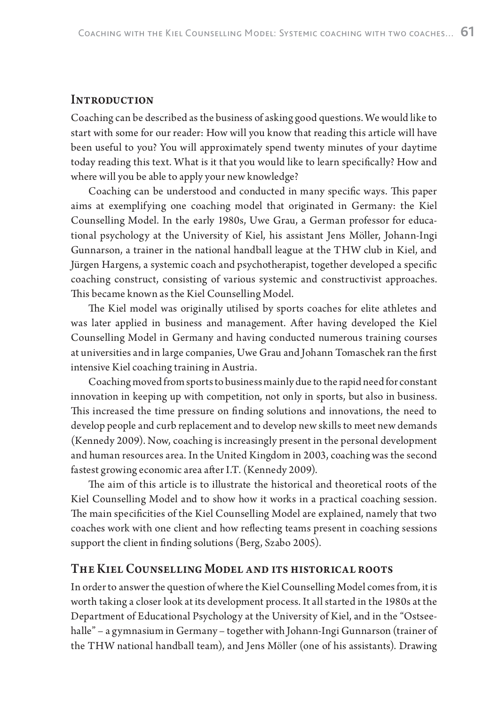# **INTRODUCTION**

Coaching can be described as the business of asking good questions. We would like to start with some for our reader: How will you know that reading this article will have been useful to you? You will approximately spend twenty minutes of your daytime today reading this text. What is it that you would like to learn specifically? How and where will you be able to apply your new knowledge?

Coaching can be understood and conducted in many specific ways. This paper aims at exemplifying one coaching model that originated in Germany: the Kiel Counselling Model. In the early 1980s, Uwe Grau, a German professor for educational psychology at the University of Kiel, his assistant Jens Möller, Johann-Ingi Gunnarson, a trainer in the national handball league at the THW club in Kiel, and Jürgen Hargens, a systemic coach and psychotherapist, together developed a specific coaching construct, consisting of various systemic and constructivist approaches. This became known as the Kiel Counselling Model.

The Kiel model was originally utilised by sports coaches for elite athletes and was later applied in business and management. After having developed the Kiel Counselling Model in Germany and having conducted numerous training courses at universities and in large companies, Uwe Grau and Johann Tomaschek ran the first intensive Kiel coaching training in Austria.

Coaching moved from sports to business mainly due to the rapid need for constant innovation in keeping up with competition, not only in sports, but also in business. This increased the time pressure on finding solutions and innovations, the need to develop people and curb replacement and to develop new skills to meet new demands (Kennedy 2009). Now, coaching is increasingly present in the personal development and human resources area. In the United Kingdom in 2003, coaching was the second fastest growing economic area after I.T. (Kennedy 2009).

The aim of this article is to illustrate the historical and theoretical roots of the Kiel Counselling Model and to show how it works in a practical coaching session. The main specificities of the Kiel Counselling Model are explained, namely that two coaches work with one client and how reflecting teams present in coaching sessions support the client in finding solutions (Berg, Szabo 2005).

# THE KIEL COUNSELLING MODEL AND ITS HISTORICAL ROOTS

In order to answer the question of where the Kiel Counselling Model comes from, it is worth taking a closer look at its development process. It all started in the 1980s at the Department of Educational Psychology at the University of Kiel, and in the "Ostseehalle" – a gymnasium in Germany – together with Johann-Ingi Gunnarson (trainer of the THW national handball team), and Jens Möller (one of his assistants). Drawing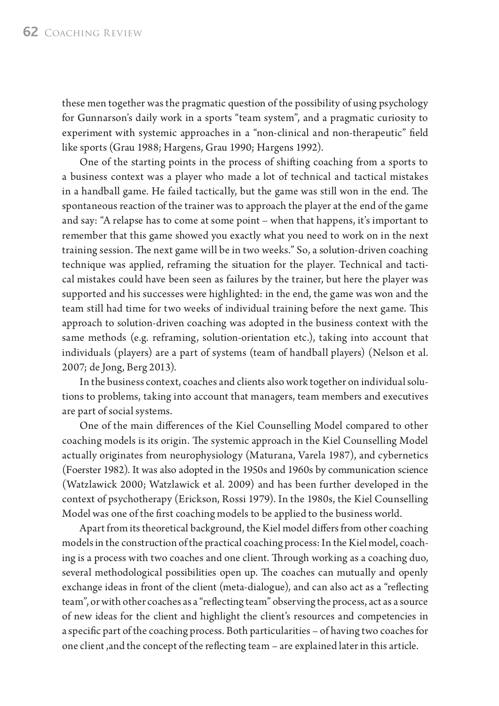these men together was the pragmatic question of the possibility of using psychology for Gunnarson's daily work in a sports "team system", and a pragmatic curiosity to experiment with systemic approaches in a "non-clinical and non-therapeutic" field like sports (Grau 1988; Hargens, Grau 1990; Hargens 1992).

One of the starting points in the process of shifting coaching from a sports to a business context was a player who made a lot of technical and tactical mistakes in a handball game. He failed tactically, but the game was still won in the end. The spontaneous reaction of the trainer was to approach the player at the end of the game and say: "A relapse has to come at some point – when that happens, it's important to remember that this game showed you exactly what you need to work on in the next training session. The next game will be in two weeks." So, a solution-driven coaching technique was applied, reframing the situation for the player. Technical and tactical mistakes could have been seen as failures by the trainer, but here the player was supported and his successes were highlighted: in the end, the game was won and the team still had time for two weeks of individual training before the next game. This approach to solution-driven coaching was adopted in the business context with the same methods (e.g. reframing, solution-orientation etc.), taking into account that individuals (players) are a part of systems (team of handball players) (Nelson et al. 2007; de Jong, Berg 2013).

In the business context, coaches and clients also work together on individual solutions to problems, taking into account that managers, team members and executives are part of social systems.

One of the main differences of the Kiel Counselling Model compared to other coaching models is its origin. The systemic approach in the Kiel Counselling Model actually originates from neurophysiology (Maturana, Varela 1987), and cybernetics (Foerster 1982). It was also adopted in the 1950s and 1960s by communication science (Watzlawick 2000; Watzlawick et al. 2009) and has been further developed in the context of psychotherapy (Erickson, Rossi 1979). In the 1980s, the Kiel Counselling Model was one of the first coaching models to be applied to the business world.

Apart from its theoretical background, the Kiel model differs from other coaching models in the construction of the practical coaching process: In the Kiel model, coaching is a process with two coaches and one client. Through working as a coaching duo, several methodological possibilities open up. The coaches can mutually and openly exchange ideas in front of the client (meta-dialogue), and can also act as a "reflecting team", or with other coaches as a "reflecting team" observing the process, act as a source of new ideas for the client and highlight the client's resources and competencies in a specific part of the coaching process. Both particularities – of having two coaches for one client, and the concept of the reflecting team – are explained later in this article.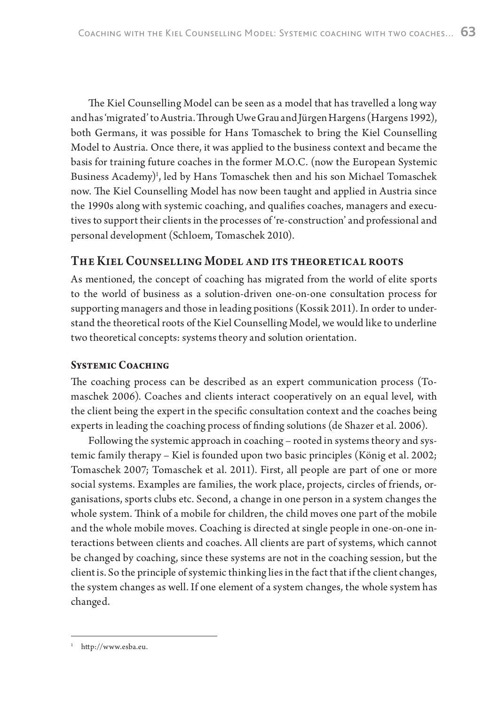The Kiel Counselling Model can be seen as a model that has travelled a long way and has 'migrated' to Austria. Through Uwe Grau and Jürgen Hargens (Hargens 1992), both Germans, it was possible for Hans Tomaschek to bring the Kiel Counselling Model to Austria. Once there, it was applied to the business context and became the basis for training future coaches in the former M.O.C. (now the European Systemic Business Academy)<sup>1</sup>, led by Hans Tomaschek then and his son Michael Tomaschek now. The Kiel Counselling Model has now been taught and applied in Austria since the 1990s along with systemic coaching, and qualifies coaches, managers and executives to support their clients in the processes of 're-construction' and professional and personal development (Schloem, Tomaschek 2010).

# THE KIEL COUNSELLING MODEL AND ITS THEORETICAL ROOTS

As mentioned, the concept of coaching has migrated from the world of elite sports to the world of business as a solution-driven one-on-one consultation process for supporting managers and those in leading positions (Kossik 2011). In order to understand the theoretical roots of the Kiel Counselling Model, we would like to underline two theoretical concepts: systems theory and solution orientation.

# **SYSTEMIC COACHING**

The coaching process can be described as an expert communication process (Tomaschek 2006). Coaches and clients interact cooperatively on an equal level, with the client being the expert in the specific consultation context and the coaches being experts in leading the coaching process of finding solutions (de Shazer et al. 2006).

Following the systemic approach in coaching – rooted in systems theory and systemic family therapy – Kiel is founded upon two basic principles (König et al. 2002; Tomaschek 2007; Tomaschek et al. 2011). First, all people are part of one or more social systems. Examples are families, the work place, projects, circles of friends, organisations, sports clubs etc. Second, a change in one person in a system changes the whole system. Think of a mobile for children, the child moves one part of the mobile and the whole mobile moves. Coaching is directed at single people in one-on-one interactions between clients and coaches. All clients are part of systems, which cannot be changed by coaching, since these systems are not in the coaching session, but the client is. So the principle of systemic thinking lies in the fact that if the client changes, the system changes as well. If one element of a system changes, the whole system has changed.

 $^1$  http://www.esba.eu.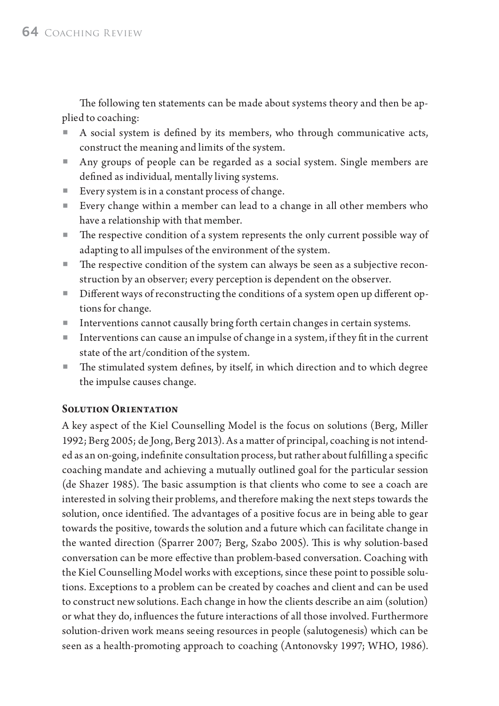The following ten statements can be made about systems theory and then be applied to coaching:

- A social system is defined by its members, who through communicative acts, construct the meaning and limits of the system.
- Any groups of people can be regarded as a social system. Single members are defined as individual, mentally living systems.
- Every system is in a constant process of change.
- Every change within a member can lead to a change in all other members who have a relationship with that member.
- $\blacksquare$  The respective condition of a system represents the only current possible way of adapting to all impulses of the environment of the system.
- The respective condition of the system can always be seen as a subjective reconstruction by an observer; every perception is dependent on the observer.
- Different ways of reconstructing the conditions of a system open up different options for change.
- Interventions cannot causally bring forth certain changes in certain systems.
- $\blacksquare$  Interventions can cause an impulse of change in a system, if they fit in the current state of the art/condition of the system.
- The stimulated system defines, by itself, in which direction and to which degree the impulse causes change.

# **SOLUTION ORIENTATION**

A key aspect of the Kiel Counselling Model is the focus on solutions (Berg, Miller 1992; Berg 2005; de Jong, Berg 2013). As a matter of principal, coaching is not intended as an on-going, indefinite consultation process, but rather about fulfilling a specific coaching mandate and achieving a mutually outlined goal for the particular session (de Shazer 1985). The basic assumption is that clients who come to see a coach are interested in solving their problems, and therefore making the next steps towards the solution, once identified. The advantages of a positive focus are in being able to gear towards the positive, towards the solution and a future which can facilitate change in the wanted direction (Sparrer 2007; Berg, Szabo 2005). This is why solution-based conversation can be more effective than problem-based conversation. Coaching with the Kiel Counselling Model works with exceptions, since these point to possible solutions. Exceptions to a problem can be created by coaches and client and can be used to construct new solutions. Each change in how the clients describe an aim (solution) or what they do, influences the future interactions of all those involved. Furthermore solution-driven work means seeing resources in people (salutogenesis) which can be seen as a health-promoting approach to coaching (Antonovsky 1997; WHO, 1986).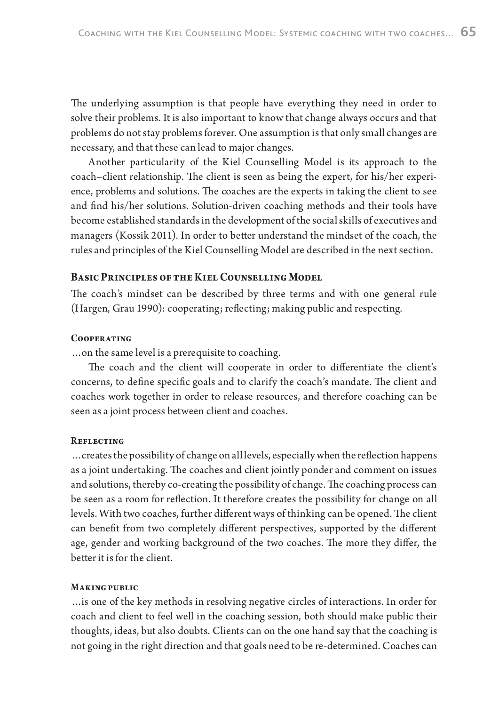The underlying assumption is that people have everything they need in order to solve their problems. It is also important to know that change always occurs and that problems do not stay problems forever. One assumption is that only small changes are necessary, and that these can lead to major changes.

Another particularity of the Kiel Counselling Model is its approach to the coach–client relationship. The client is seen as being the expert, for his/her experience, problems and solutions. The coaches are the experts in taking the client to see and find his/her solutions. Solution-driven coaching methods and their tools have become established standards in the development of the social skills of executives and managers (Kossik 2011). In order to better understand the mindset of the coach, the rules and principles of the Kiel Counselling Model are described in the next section.

### BASIC PRINCIPLES OF THE KIEL COUNSELLING MODEL

The coach's mindset can be described by three terms and with one general rule (Hargen, Grau 1990): cooperating; reflecting; making public and respecting.

#### COOPERATING

…on the same level is a prerequisite to coaching.

The coach and the client will cooperate in order to differentiate the client's concerns, to define specific goals and to clarify the coach's mandate. The client and coaches work together in order to release resources, and therefore coaching can be seen as a joint process between client and coaches.

#### REFLECTING

... creates the possibility of change on all levels, especially when the reflection happens as a joint undertaking. The coaches and client jointly ponder and comment on issues and solutions, thereby co-creating the possibility of change. The coaching process can be seen as a room for reflection. It therefore creates the possibility for change on all levels. With two coaches, further different ways of thinking can be opened. The client can benefit from two completely different perspectives, supported by the different age, gender and working background of the two coaches. The more they differ, the better it is for the client.

#### **MAKING PUBLIC**

…is one of the key methods in resolving negative circles of interactions. In order for coach and client to feel well in the coaching session, both should make public their thoughts, ideas, but also doubts. Clients can on the one hand say that the coaching is not going in the right direction and that goals need to be re-determined. Coaches can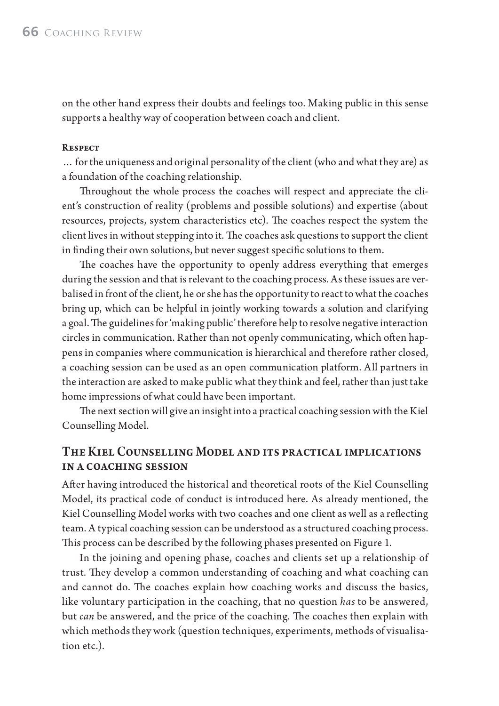on the other hand express their doubts and feelings too. Making public in this sense supports a healthy way of cooperation between coach and client.

## **RESPECT**

… for the uniqueness and original personality of the client (who and what they are) as a foundation of the coaching relationship.

Throughout the whole process the coaches will respect and appreciate the client's construction of reality (problems and possible solutions) and expertise (about resources, projects, system characteristics etc). The coaches respect the system the client lives in without stepping into it. The coaches ask questions to support the client in finding their own solutions, but never suggest specific solutions to them.

The coaches have the opportunity to openly address everything that emerges during the session and that is relevant to the coaching process. As these issues are verbalised in front of the client, he or she has the opportunity to react to what the coaches bring up, which can be helpful in jointly working towards a solution and clarifying a goal. The guidelines for 'making public' therefore help to resolve negative interaction circles in communication. Rather than not openly communicating, which often happens in companies where communication is hierarchical and therefore rather closed, a coaching session can be used as an open communication platform. All partners in the interaction are asked to make public what they think and feel, rather than just take home impressions of what could have been important.

The next section will give an insight into a practical coaching session with the Kiel Counselling Model.

# THE KIEL COUNSELLING MODEL AND ITS PRACTICAL IMPLICATIONS **IN A COACHING SESSION**

After having introduced the historical and theoretical roots of the Kiel Counselling Model, its practical code of conduct is introduced here. As already mentioned, the Kiel Counselling Model works with two coaches and one client as well as a reflecting team. A typical coaching session can be understood as a structured coaching process. This process can be described by the following phases presented on Figure 1.

In the joining and opening phase, coaches and clients set up a relationship of trust. They develop a common understanding of coaching and what coaching can and cannot do. The coaches explain how coaching works and discuss the basics, like voluntary participation in the coaching, that no question has to be answered, but *can* be answered, and the price of the coaching. The coaches then explain with which methods they work (question techniques, experiments, methods of visualisation etc.).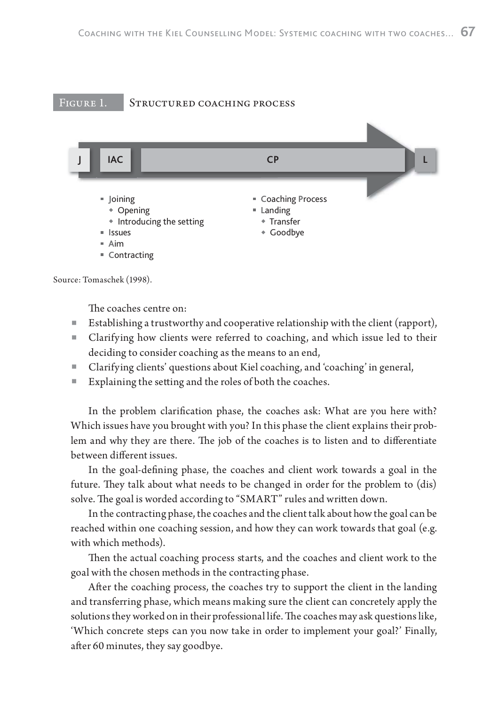



Source: Tomaschek (1998).

The coaches centre on:

- **Establishing a trustworthy and cooperative relationship with the client (rapport),**
- Clarifying how clients were referred to coaching, and which issue led to their deciding to consider coaching as the means to an end,
- Clarifying clients' questions about Kiel coaching, and 'coaching' in general,
- Explaining the setting and the roles of both the coaches.

In the problem clarification phase, the coaches ask: What are you here with? Which issues have you brought with you? In this phase the client explains their problem and why they are there. The job of the coaches is to listen and to differentiate between different issues.

In the goal-defining phase, the coaches and client work towards a goal in the future. They talk about what needs to be changed in order for the problem to (dis) solve. The goal is worded according to "SMART" rules and written down.

In the contracting phase, the coaches and the client talk about how the goal can be reached within one coaching session, and how they can work towards that goal (e.g. with which methods).

Then the actual coaching process starts, and the coaches and client work to the goal with the chosen methods in the contracting phase.

After the coaching process, the coaches try to support the client in the landing and transferring phase, which means making sure the client can concretely apply the solutions they worked on in their professional life. The coaches may ask questions like, 'Which concrete steps can you now take in order to implement your goal?' Finally, after 60 minutes, they say goodbye.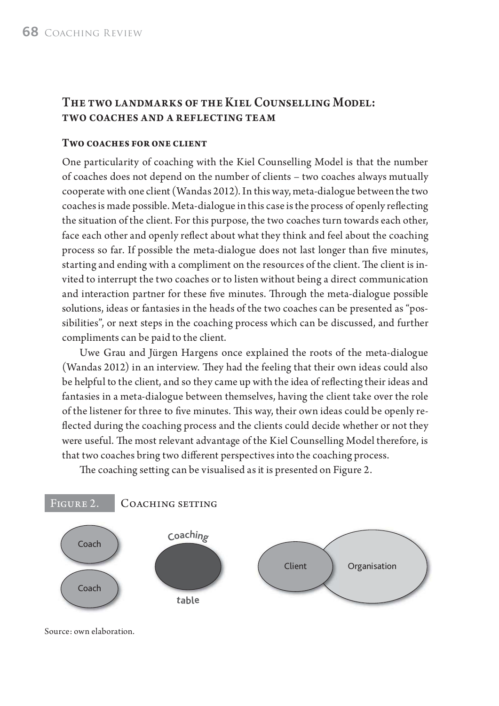# THE TWO LANDMARKS OF THE KIEL COUNSELLING MODEL: TWO COACHES AND A REFLECTING TEAM

## TWO COACHES FOR ONE CLIENT

One particularity of coaching with the Kiel Counselling Model is that the number of coaches does not depend on the number of clients – two coaches always mutually cooperate with one client (Wandas 2012). In this way, meta-dialogue between the two coaches is made possible. Meta-dialogue in this case is the process of openly reflecting the situation of the client. For this purpose, the two coaches turn towards each other, face each other and openly reflect about what they think and feel about the coaching process so far. If possible the meta-dialogue does not last longer than five minutes, starting and ending with a compliment on the resources of the client. The client is invited to interrupt the two coaches or to listen without being a direct communication and interaction partner for these five minutes. Through the meta-dialogue possible solutions, ideas or fantasies in the heads of the two coaches can be presented as "possibilities", or next steps in the coaching process which can be discussed, and further compliments can be paid to the client.

Uwe Grau and Jürgen Hargens once explained the roots of the meta-dialogue (Wandas 2012) in an interview. They had the feeling that their own ideas could also be helpful to the client, and so they came up with the idea of reflecting their ideas and fantasies in a meta-dialogue between themselves, having the client take over the role of the listener for three to five minutes. This way, their own ideas could be openly reflected during the coaching process and the clients could decide whether or not they were useful. The most relevant advantage of the Kiel Counselling Model therefore, is that two coaches bring two different perspectives into the coaching process.

The coaching setting can be visualised as it is presented on Figure 2.



Source: own elaboration.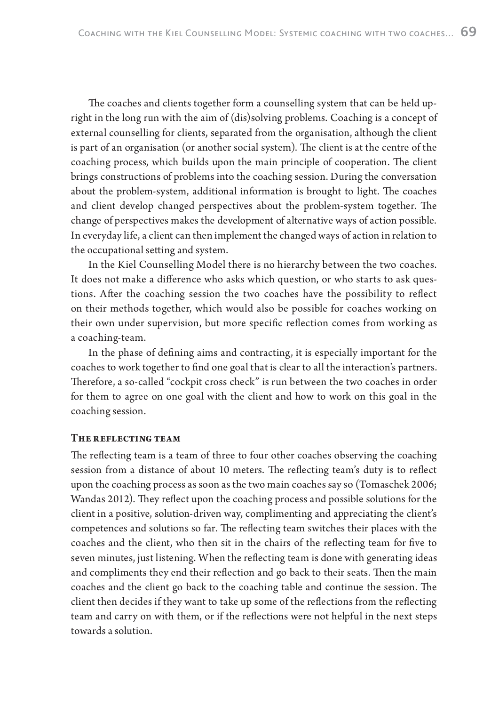The coaches and clients together form a counselling system that can be held upright in the long run with the aim of (dis)solving problems. Coaching is a concept of external counselling for clients, separated from the organisation, although the client is part of an organisation (or another social system). The client is at the centre of the coaching process, which builds upon the main principle of cooperation. The client brings constructions of problems into the coaching session. During the conversation about the problem-system, additional information is brought to light. The coaches and client develop changed perspectives about the problem-system together. The change of perspectives makes the development of alternative ways of action possible. In everyday life, a client can then implement the changed ways of action in relation to the occupational setting and system.

In the Kiel Counselling Model there is no hierarchy between the two coaches. It does not make a difference who asks which question, or who starts to ask questions. After the coaching session the two coaches have the possibility to reflect on their methods together, which would also be possible for coaches working on their own under supervision, but more specific reflection comes from working as a coaching-team.

In the phase of defining aims and contracting, it is especially important for the coaches to work together to find one goal that is clear to all the interaction's partners. Therefore, a so-called "cockpit cross check" is run between the two coaches in order for them to agree on one goal with the client and how to work on this goal in the coaching session.

#### THE REFLECTING TEAM

The reflecting team is a team of three to four other coaches observing the coaching session from a distance of about 10 meters. The reflecting team's duty is to reflect upon the coaching process as soon as the two main coaches say so (Tomaschek 2006; Wandas 2012). They reflect upon the coaching process and possible solutions for the client in a positive, solution-driven way, complimenting and appreciating the client's competences and solutions so far. The reflecting team switches their places with the coaches and the client, who then sit in the chairs of the reflecting team for five to seven minutes, just listening. When the reflecting team is done with generating ideas and compliments they end their reflection and go back to their seats. Then the main coaches and the client go back to the coaching table and continue the session. The client then decides if they want to take up some of the reflections from the reflecting team and carry on with them, or if the reflections were not helpful in the next steps towards a solution.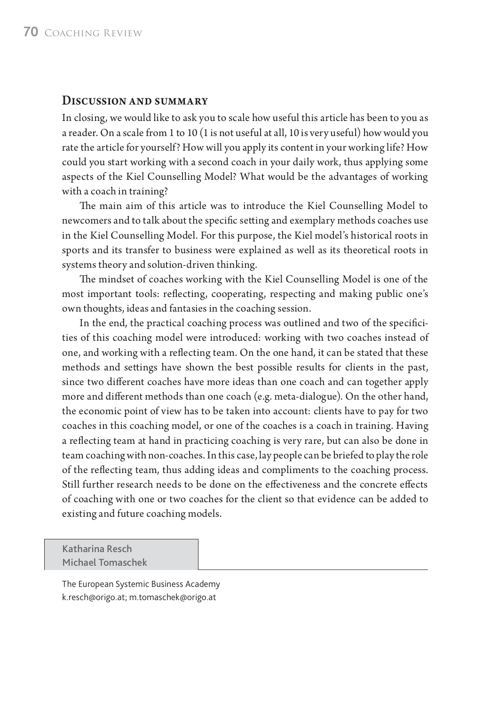## **DISCUSSION AND SUMMARY**

In closing, we would like to ask you to scale how useful this article has been to you as a reader. On a scale from 1 to 10 (1 is not useful at all, 10 is very useful) how would you rate the article for yourself? How will you apply its content in your working life? How could you start working with a second coach in your daily work, thus applying some aspects of the Kiel Counselling Model? What would be the advantages of working with a coach in training?

The main aim of this article was to introduce the Kiel Counselling Model to new comers and to talk about the specific setting and exemplary methods coaches use in the Kiel Counselling Model. For this purpose, the Kiel model's historical roots in sports and its transfer to business were explained as well as its theoretical roots in systems theory and solution-driven thinking.

The mindset of coaches working with the Kiel Counselling Model is one of the most important tools: reflecting, cooperating, respecting and making public one's own thoughts, ideas and fantasies in the coaching session.

In the end, the practical coaching process was outlined and two of the specificities of this coaching model were introduced: working with two coaches instead of one, and working with a reflecting team. On the one hand, it can be stated that these methods and settings have shown the best possible results for clients in the past, since two different coaches have more ideas than one coach and can together apply more and different methods than one coach (e.g. meta-dialogue). On the other hand, the economic point of view has to be taken into account: clients have to pay for two coaches in this coaching model, or one of the coaches is a coach in training. Having a reflecting team at hand in practicing coaching is very rare, but can also be done in team coaching with non-coaches. In this case, lay people can be briefed to play the role of the reflecting team, thus adding ideas and compliments to the coaching process. Still further research needs to be done on the effectiveness and the concrete effects of coaching with one or two coaches for the client so that evidence can be added to existing and future coaching models.

## Katharina Resch Michael Tomaschek

The European Systemic Business Academy k.resch@origo.at; m.tomaschek@origo.at